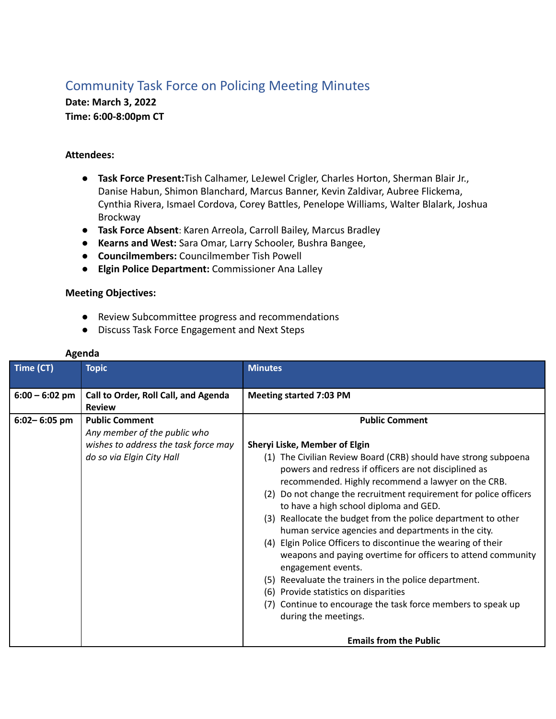## Community Task Force on Policing Meeting Minutes

**Date: March 3, 2022 Time: 6:00-8:00pm CT**

## **Attendees:**

- **Task Force Present:**Tish Calhamer, LeJewel Crigler, Charles Horton, Sherman Blair Jr., Danise Habun, Shimon Blanchard, Marcus Banner, Kevin Zaldivar, Aubree Flickema, Cynthia Rivera, Ismael Cordova, Corey Battles, Penelope Williams, Walter Blalark, Joshua Brockway
- **● Task Force Absent**: Karen Arreola, Carroll Bailey, Marcus Bradley
- **● Kearns and West:** Sara Omar, Larry Schooler, Bushra Bangee,
- **● Councilmembers:** Councilmember Tish Powell
- **● Elgin Police Department:** Commissioner Ana Lalley

## **Meeting Objectives:**

- Review Subcommittee progress and recommendations
- Discuss Task Force Engagement and Next Steps

| Time (CT)        | <b>Topic</b>                                                                                                               | <b>Minutes</b>                                                                                                                                                                                                                                                                                                                                                                                                                                                                                                                                                                                                                                                                                                                                                                                                                                                                   |
|------------------|----------------------------------------------------------------------------------------------------------------------------|----------------------------------------------------------------------------------------------------------------------------------------------------------------------------------------------------------------------------------------------------------------------------------------------------------------------------------------------------------------------------------------------------------------------------------------------------------------------------------------------------------------------------------------------------------------------------------------------------------------------------------------------------------------------------------------------------------------------------------------------------------------------------------------------------------------------------------------------------------------------------------|
| $6:00 - 6:02$ pm | Call to Order, Roll Call, and Agenda<br><b>Review</b>                                                                      | <b>Meeting started 7:03 PM</b>                                                                                                                                                                                                                                                                                                                                                                                                                                                                                                                                                                                                                                                                                                                                                                                                                                                   |
| $6:02 - 6:05$ pm | <b>Public Comment</b><br>Any member of the public who<br>wishes to address the task force may<br>do so via Elgin City Hall | <b>Public Comment</b><br>Sheryi Liske, Member of Elgin<br>(1) The Civilian Review Board (CRB) should have strong subpoena<br>powers and redress if officers are not disciplined as<br>recommended. Highly recommend a lawyer on the CRB.<br>Do not change the recruitment requirement for police officers<br>(2)<br>to have a high school diploma and GED.<br>(3) Reallocate the budget from the police department to other<br>human service agencies and departments in the city.<br>Elgin Police Officers to discontinue the wearing of their<br>(4)<br>weapons and paying overtime for officers to attend community<br>engagement events.<br>Reevaluate the trainers in the police department.<br>(5)<br>Provide statistics on disparities<br>(6)<br>Continue to encourage the task force members to speak up<br>(7)<br>during the meetings.<br><b>Emails from the Public</b> |

## **Agenda**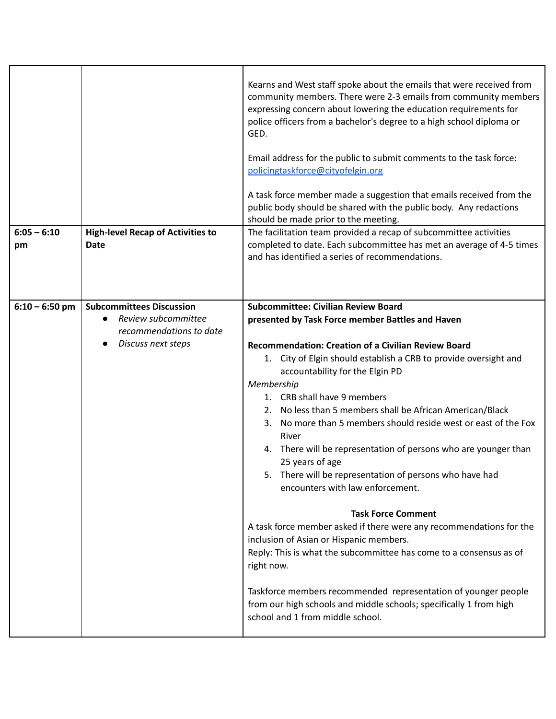| $6:05 - 6:10$<br>pm | <b>High-level Recap of Activities to</b><br><b>Date</b>                                                 | Kearns and West staff spoke about the emails that were received from<br>community members. There were 2-3 emails from community members<br>expressing concern about lowering the education requirements for<br>police officers from a bachelor's degree to a high school diploma or<br>GED.<br>Email address for the public to submit comments to the task force:<br>policingtaskforce@cityofelgin.org<br>A task force member made a suggestion that emails received from the<br>public body should be shared with the public body. Any redactions<br>should be made prior to the meeting.<br>The facilitation team provided a recap of subcommittee activities<br>completed to date. Each subcommittee has met an average of 4-5 times                                                                                                                                                                                                                                                                                                                          |
|---------------------|---------------------------------------------------------------------------------------------------------|------------------------------------------------------------------------------------------------------------------------------------------------------------------------------------------------------------------------------------------------------------------------------------------------------------------------------------------------------------------------------------------------------------------------------------------------------------------------------------------------------------------------------------------------------------------------------------------------------------------------------------------------------------------------------------------------------------------------------------------------------------------------------------------------------------------------------------------------------------------------------------------------------------------------------------------------------------------------------------------------------------------------------------------------------------------|
|                     |                                                                                                         | and has identified a series of recommendations.                                                                                                                                                                                                                                                                                                                                                                                                                                                                                                                                                                                                                                                                                                                                                                                                                                                                                                                                                                                                                  |
| $6:10 - 6:50$ pm    | <b>Subcommittees Discussion</b><br>Review subcommittee<br>recommendations to date<br>Discuss next steps | <b>Subcommittee: Civilian Review Board</b><br>presented by Task Force member Battles and Haven<br><b>Recommendation: Creation of a Civilian Review Board</b><br>City of Elgin should establish a CRB to provide oversight and<br>1.<br>accountability for the Elgin PD<br>Membership<br>1. CRB shall have 9 members<br>2. No less than 5 members shall be African American/Black<br>No more than 5 members should reside west or east of the Fox<br>3.<br>River<br>4. There will be representation of persons who are younger than<br>25 years of age<br>There will be representation of persons who have had<br>encounters with law enforcement.<br><b>Task Force Comment</b><br>A task force member asked if there were any recommendations for the<br>inclusion of Asian or Hispanic members.<br>Reply: This is what the subcommittee has come to a consensus as of<br>right now.<br>Taskforce members recommended representation of younger people<br>from our high schools and middle schools; specifically 1 from high<br>school and 1 from middle school. |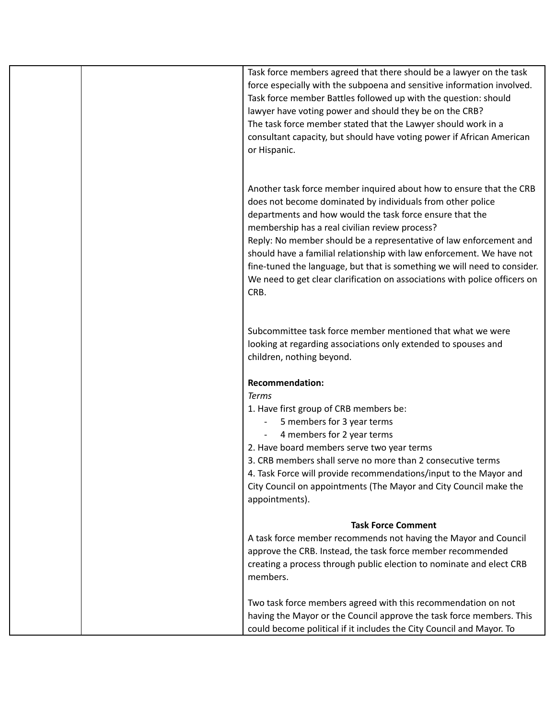| Task force members agreed that there should be a lawyer on the task<br>force especially with the subpoena and sensitive information involved.<br>Task force member Battles followed up with the question: should<br>lawyer have voting power and should they be on the CRB?<br>The task force member stated that the Lawyer should work in a<br>consultant capacity, but should have voting power if African American<br>or Hispanic.                                                                                                                            |
|------------------------------------------------------------------------------------------------------------------------------------------------------------------------------------------------------------------------------------------------------------------------------------------------------------------------------------------------------------------------------------------------------------------------------------------------------------------------------------------------------------------------------------------------------------------|
| Another task force member inquired about how to ensure that the CRB<br>does not become dominated by individuals from other police<br>departments and how would the task force ensure that the<br>membership has a real civilian review process?<br>Reply: No member should be a representative of law enforcement and<br>should have a familial relationship with law enforcement. We have not<br>fine-tuned the language, but that is something we will need to consider.<br>We need to get clear clarification on associations with police officers on<br>CRB. |
| Subcommittee task force member mentioned that what we were<br>looking at regarding associations only extended to spouses and<br>children, nothing beyond.                                                                                                                                                                                                                                                                                                                                                                                                        |
| <b>Recommendation:</b>                                                                                                                                                                                                                                                                                                                                                                                                                                                                                                                                           |
| <b>Terms</b>                                                                                                                                                                                                                                                                                                                                                                                                                                                                                                                                                     |
| 1. Have first group of CRB members be:                                                                                                                                                                                                                                                                                                                                                                                                                                                                                                                           |
| 5 members for 3 year terms                                                                                                                                                                                                                                                                                                                                                                                                                                                                                                                                       |
| 4 members for 2 year terms<br>2. Have board members serve two year terms                                                                                                                                                                                                                                                                                                                                                                                                                                                                                         |
| 3. CRB members shall serve no more than 2 consecutive terms                                                                                                                                                                                                                                                                                                                                                                                                                                                                                                      |
| 4. Task Force will provide recommendations/input to the Mayor and                                                                                                                                                                                                                                                                                                                                                                                                                                                                                                |
| City Council on appointments (The Mayor and City Council make the                                                                                                                                                                                                                                                                                                                                                                                                                                                                                                |
| appointments).                                                                                                                                                                                                                                                                                                                                                                                                                                                                                                                                                   |
| <b>Task Force Comment</b>                                                                                                                                                                                                                                                                                                                                                                                                                                                                                                                                        |
| A task force member recommends not having the Mayor and Council                                                                                                                                                                                                                                                                                                                                                                                                                                                                                                  |
| approve the CRB. Instead, the task force member recommended                                                                                                                                                                                                                                                                                                                                                                                                                                                                                                      |
| creating a process through public election to nominate and elect CRB                                                                                                                                                                                                                                                                                                                                                                                                                                                                                             |
| members.                                                                                                                                                                                                                                                                                                                                                                                                                                                                                                                                                         |
| Two task force members agreed with this recommendation on not                                                                                                                                                                                                                                                                                                                                                                                                                                                                                                    |
| having the Mayor or the Council approve the task force members. This                                                                                                                                                                                                                                                                                                                                                                                                                                                                                             |
| could become political if it includes the City Council and Mayor. To                                                                                                                                                                                                                                                                                                                                                                                                                                                                                             |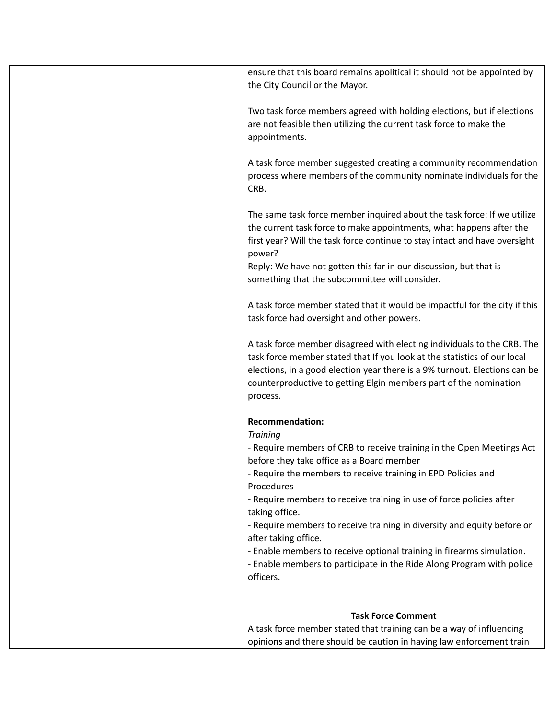| ensure that this board remains apolitical it should not be appointed by<br>the City Council or the Mayor.                                                                                                                                                                                                          |
|--------------------------------------------------------------------------------------------------------------------------------------------------------------------------------------------------------------------------------------------------------------------------------------------------------------------|
| Two task force members agreed with holding elections, but if elections<br>are not feasible then utilizing the current task force to make the<br>appointments.                                                                                                                                                      |
| A task force member suggested creating a community recommendation<br>process where members of the community nominate individuals for the<br>CRB.                                                                                                                                                                   |
| The same task force member inquired about the task force: If we utilize<br>the current task force to make appointments, what happens after the<br>first year? Will the task force continue to stay intact and have oversight<br>power?<br>Reply: We have not gotten this far in our discussion, but that is        |
| something that the subcommittee will consider.                                                                                                                                                                                                                                                                     |
| A task force member stated that it would be impactful for the city if this<br>task force had oversight and other powers.                                                                                                                                                                                           |
| A task force member disagreed with electing individuals to the CRB. The<br>task force member stated that If you look at the statistics of our local<br>elections, in a good election year there is a 9% turnout. Elections can be<br>counterproductive to getting Elgin members part of the nomination<br>process. |
| <b>Recommendation:</b>                                                                                                                                                                                                                                                                                             |
| <b>Training</b>                                                                                                                                                                                                                                                                                                    |
| - Require members of CRB to receive training in the Open Meetings Act<br>before they take office as a Board member                                                                                                                                                                                                 |
| - Require the members to receive training in EPD Policies and                                                                                                                                                                                                                                                      |
| Procedures<br>- Require members to receive training in use of force policies after<br>taking office.                                                                                                                                                                                                               |
| - Require members to receive training in diversity and equity before or<br>after taking office.                                                                                                                                                                                                                    |
| - Enable members to receive optional training in firearms simulation.<br>- Enable members to participate in the Ride Along Program with police<br>officers.                                                                                                                                                        |
|                                                                                                                                                                                                                                                                                                                    |
| <b>Task Force Comment</b>                                                                                                                                                                                                                                                                                          |
| A task force member stated that training can be a way of influencing                                                                                                                                                                                                                                               |
| opinions and there should be caution in having law enforcement train                                                                                                                                                                                                                                               |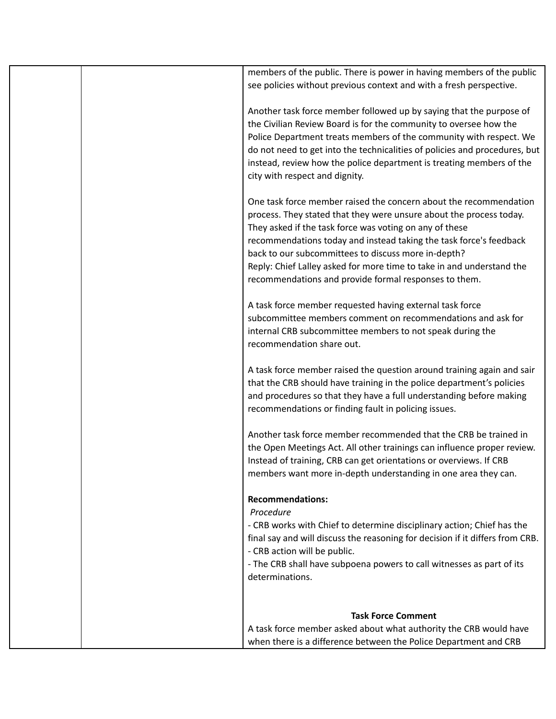| members of the public. There is power in having members of the public<br>see policies without previous context and with a fresh perspective.                                                                                                                                                                                                                                                                                                                       |
|--------------------------------------------------------------------------------------------------------------------------------------------------------------------------------------------------------------------------------------------------------------------------------------------------------------------------------------------------------------------------------------------------------------------------------------------------------------------|
| Another task force member followed up by saying that the purpose of<br>the Civilian Review Board is for the community to oversee how the<br>Police Department treats members of the community with respect. We<br>do not need to get into the technicalities of policies and procedures, but<br>instead, review how the police department is treating members of the<br>city with respect and dignity.                                                             |
| One task force member raised the concern about the recommendation<br>process. They stated that they were unsure about the process today.<br>They asked if the task force was voting on any of these<br>recommendations today and instead taking the task force's feedback<br>back to our subcommittees to discuss more in-depth?<br>Reply: Chief Lalley asked for more time to take in and understand the<br>recommendations and provide formal responses to them. |
| A task force member requested having external task force<br>subcommittee members comment on recommendations and ask for<br>internal CRB subcommittee members to not speak during the<br>recommendation share out.                                                                                                                                                                                                                                                  |
| A task force member raised the question around training again and sair<br>that the CRB should have training in the police department's policies<br>and procedures so that they have a full understanding before making<br>recommendations or finding fault in policing issues.                                                                                                                                                                                     |
| Another task force member recommended that the CRB be trained in<br>the Open Meetings Act. All other trainings can influence proper review.<br>Instead of training, CRB can get orientations or overviews. If CRB<br>members want more in-depth understanding in one area they can.                                                                                                                                                                                |
| <b>Recommendations:</b>                                                                                                                                                                                                                                                                                                                                                                                                                                            |
| Procedure<br>- CRB works with Chief to determine disciplinary action; Chief has the<br>final say and will discuss the reasoning for decision if it differs from CRB.<br>- CRB action will be public.<br>- The CRB shall have subpoena powers to call witnesses as part of its                                                                                                                                                                                      |
| determinations.                                                                                                                                                                                                                                                                                                                                                                                                                                                    |
| <b>Task Force Comment</b>                                                                                                                                                                                                                                                                                                                                                                                                                                          |
| A task force member asked about what authority the CRB would have                                                                                                                                                                                                                                                                                                                                                                                                  |
| when there is a difference between the Police Department and CRB                                                                                                                                                                                                                                                                                                                                                                                                   |
|                                                                                                                                                                                                                                                                                                                                                                                                                                                                    |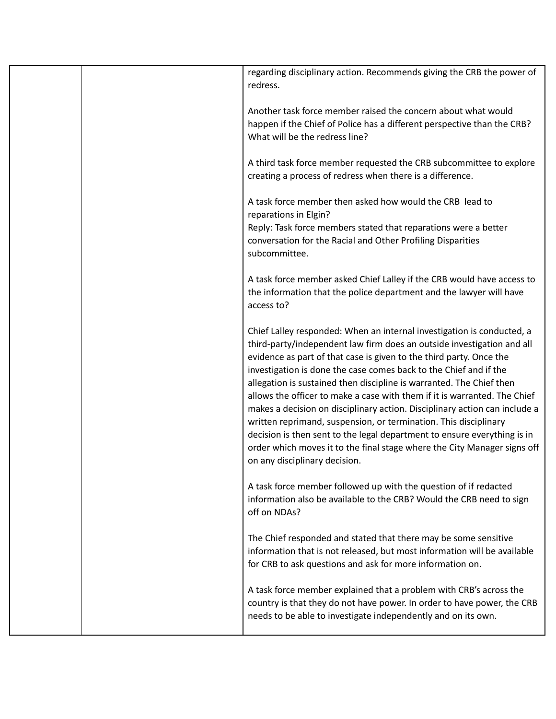| regarding disciplinary action. Recommends giving the CRB the power of<br>redress.                                                                                                                                                                                                                                                                                                                                                                                                                                                                                                                                                                                                                                                                                                            |
|----------------------------------------------------------------------------------------------------------------------------------------------------------------------------------------------------------------------------------------------------------------------------------------------------------------------------------------------------------------------------------------------------------------------------------------------------------------------------------------------------------------------------------------------------------------------------------------------------------------------------------------------------------------------------------------------------------------------------------------------------------------------------------------------|
| Another task force member raised the concern about what would<br>happen if the Chief of Police has a different perspective than the CRB?<br>What will be the redress line?                                                                                                                                                                                                                                                                                                                                                                                                                                                                                                                                                                                                                   |
| A third task force member requested the CRB subcommittee to explore<br>creating a process of redress when there is a difference.                                                                                                                                                                                                                                                                                                                                                                                                                                                                                                                                                                                                                                                             |
| A task force member then asked how would the CRB lead to<br>reparations in Elgin?                                                                                                                                                                                                                                                                                                                                                                                                                                                                                                                                                                                                                                                                                                            |
| Reply: Task force members stated that reparations were a better<br>conversation for the Racial and Other Profiling Disparities<br>subcommittee.                                                                                                                                                                                                                                                                                                                                                                                                                                                                                                                                                                                                                                              |
| A task force member asked Chief Lalley if the CRB would have access to<br>the information that the police department and the lawyer will have<br>access to?                                                                                                                                                                                                                                                                                                                                                                                                                                                                                                                                                                                                                                  |
| Chief Lalley responded: When an internal investigation is conducted, a<br>third-party/independent law firm does an outside investigation and all<br>evidence as part of that case is given to the third party. Once the<br>investigation is done the case comes back to the Chief and if the<br>allegation is sustained then discipline is warranted. The Chief then<br>allows the officer to make a case with them if it is warranted. The Chief<br>makes a decision on disciplinary action. Disciplinary action can include a<br>written reprimand, suspension, or termination. This disciplinary<br>decision is then sent to the legal department to ensure everything is in<br>order which moves it to the final stage where the City Manager signs off<br>on any disciplinary decision. |
| A task force member followed up with the question of if redacted<br>information also be available to the CRB? Would the CRB need to sign<br>off on NDAs?                                                                                                                                                                                                                                                                                                                                                                                                                                                                                                                                                                                                                                     |
| The Chief responded and stated that there may be some sensitive<br>information that is not released, but most information will be available<br>for CRB to ask questions and ask for more information on.                                                                                                                                                                                                                                                                                                                                                                                                                                                                                                                                                                                     |
| A task force member explained that a problem with CRB's across the<br>country is that they do not have power. In order to have power, the CRB<br>needs to be able to investigate independently and on its own.                                                                                                                                                                                                                                                                                                                                                                                                                                                                                                                                                                               |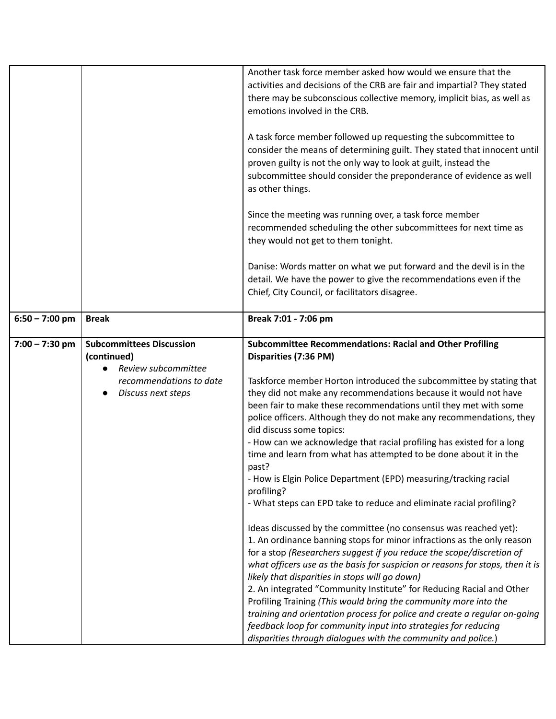|                  |                                 | Another task force member asked how would we ensure that the                                                                                                                                                                                                                                            |
|------------------|---------------------------------|---------------------------------------------------------------------------------------------------------------------------------------------------------------------------------------------------------------------------------------------------------------------------------------------------------|
|                  |                                 | activities and decisions of the CRB are fair and impartial? They stated                                                                                                                                                                                                                                 |
|                  |                                 | there may be subconscious collective memory, implicit bias, as well as                                                                                                                                                                                                                                  |
|                  |                                 | emotions involved in the CRB.                                                                                                                                                                                                                                                                           |
|                  |                                 | A task force member followed up requesting the subcommittee to<br>consider the means of determining guilt. They stated that innocent until<br>proven guilty is not the only way to look at guilt, instead the<br>subcommittee should consider the preponderance of evidence as well<br>as other things. |
|                  |                                 | Since the meeting was running over, a task force member                                                                                                                                                                                                                                                 |
|                  |                                 | recommended scheduling the other subcommittees for next time as                                                                                                                                                                                                                                         |
|                  |                                 | they would not get to them tonight.                                                                                                                                                                                                                                                                     |
|                  |                                 |                                                                                                                                                                                                                                                                                                         |
|                  |                                 | Danise: Words matter on what we put forward and the devil is in the                                                                                                                                                                                                                                     |
|                  |                                 | detail. We have the power to give the recommendations even if the                                                                                                                                                                                                                                       |
|                  |                                 | Chief, City Council, or facilitators disagree.                                                                                                                                                                                                                                                          |
| $6:50 - 7:00$ pm | <b>Break</b>                    | Break 7:01 - 7:06 pm                                                                                                                                                                                                                                                                                    |
| $7:00 - 7:30$ pm | <b>Subcommittees Discussion</b> | <b>Subcommittee Recommendations: Racial and Other Profiling</b>                                                                                                                                                                                                                                         |
|                  | (continued)                     | Disparities (7:36 PM)                                                                                                                                                                                                                                                                                   |
|                  | Review subcommittee             |                                                                                                                                                                                                                                                                                                         |
|                  | recommendations to date         | Taskforce member Horton introduced the subcommittee by stating that                                                                                                                                                                                                                                     |
|                  | Discuss next steps              | they did not make any recommendations because it would not have                                                                                                                                                                                                                                         |
|                  |                                 | been fair to make these recommendations until they met with some                                                                                                                                                                                                                                        |
|                  |                                 | police officers. Although they do not make any recommendations, they<br>did discuss some topics:                                                                                                                                                                                                        |
|                  |                                 | - How can we acknowledge that racial profiling has existed for a long                                                                                                                                                                                                                                   |
|                  |                                 | time and learn from what has attempted to be done about it in the                                                                                                                                                                                                                                       |
|                  |                                 | past?                                                                                                                                                                                                                                                                                                   |
|                  |                                 | - How is Elgin Police Department (EPD) measuring/tracking racial                                                                                                                                                                                                                                        |
|                  |                                 |                                                                                                                                                                                                                                                                                                         |
|                  |                                 | profiling?                                                                                                                                                                                                                                                                                              |
|                  |                                 | - What steps can EPD take to reduce and eliminate racial profiling?                                                                                                                                                                                                                                     |
|                  |                                 | Ideas discussed by the committee (no consensus was reached yet):                                                                                                                                                                                                                                        |
|                  |                                 | 1. An ordinance banning stops for minor infractions as the only reason                                                                                                                                                                                                                                  |
|                  |                                 | for a stop (Researchers suggest if you reduce the scope/discretion of                                                                                                                                                                                                                                   |
|                  |                                 | what officers use as the basis for suspicion or reasons for stops, then it is                                                                                                                                                                                                                           |
|                  |                                 | likely that disparities in stops will go down)                                                                                                                                                                                                                                                          |
|                  |                                 | 2. An integrated "Community Institute" for Reducing Racial and Other                                                                                                                                                                                                                                    |
|                  |                                 | Profiling Training (This would bring the community more into the                                                                                                                                                                                                                                        |
|                  |                                 | training and orientation process for police and create a regular on-going<br>feedback loop for community input into strategies for reducing                                                                                                                                                             |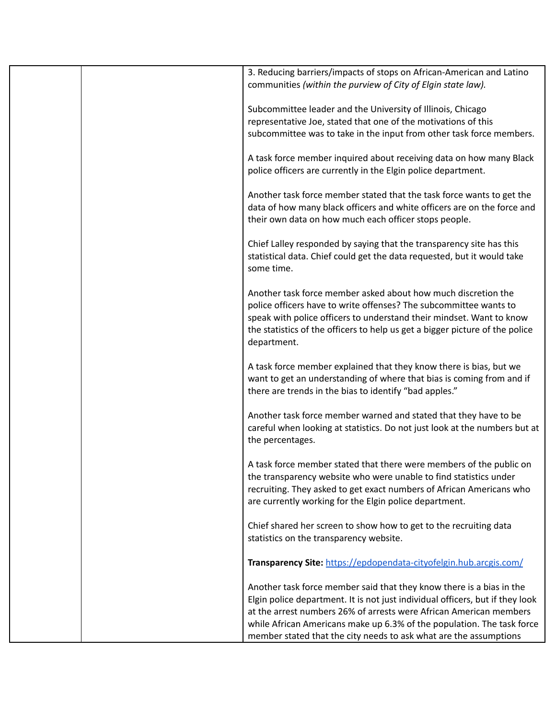| 3. Reducing barriers/impacts of stops on African-American and Latino<br>communities (within the purview of City of Elgin state law).                                                                                                                                                                                                                                       |
|----------------------------------------------------------------------------------------------------------------------------------------------------------------------------------------------------------------------------------------------------------------------------------------------------------------------------------------------------------------------------|
| Subcommittee leader and the University of Illinois, Chicago<br>representative Joe, stated that one of the motivations of this<br>subcommittee was to take in the input from other task force members.                                                                                                                                                                      |
| A task force member inquired about receiving data on how many Black<br>police officers are currently in the Elgin police department.                                                                                                                                                                                                                                       |
| Another task force member stated that the task force wants to get the<br>data of how many black officers and white officers are on the force and<br>their own data on how much each officer stops people.                                                                                                                                                                  |
| Chief Lalley responded by saying that the transparency site has this<br>statistical data. Chief could get the data requested, but it would take<br>some time.                                                                                                                                                                                                              |
| Another task force member asked about how much discretion the<br>police officers have to write offenses? The subcommittee wants to<br>speak with police officers to understand their mindset. Want to know<br>the statistics of the officers to help us get a bigger picture of the police<br>department.                                                                  |
| A task force member explained that they know there is bias, but we<br>want to get an understanding of where that bias is coming from and if<br>there are trends in the bias to identify "bad apples."                                                                                                                                                                      |
| Another task force member warned and stated that they have to be<br>careful when looking at statistics. Do not just look at the numbers but at<br>the percentages.                                                                                                                                                                                                         |
| A task force member stated that there were members of the public on<br>the transparency website who were unable to find statistics under<br>recruiting. They asked to get exact numbers of African Americans who<br>are currently working for the Elgin police department.                                                                                                 |
| Chief shared her screen to show how to get to the recruiting data<br>statistics on the transparency website.                                                                                                                                                                                                                                                               |
| Transparency Site: https://epdopendata-cityofelgin.hub.arcgis.com/                                                                                                                                                                                                                                                                                                         |
| Another task force member said that they know there is a bias in the<br>Elgin police department. It is not just individual officers, but if they look<br>at the arrest numbers 26% of arrests were African American members<br>while African Americans make up 6.3% of the population. The task force<br>member stated that the city needs to ask what are the assumptions |